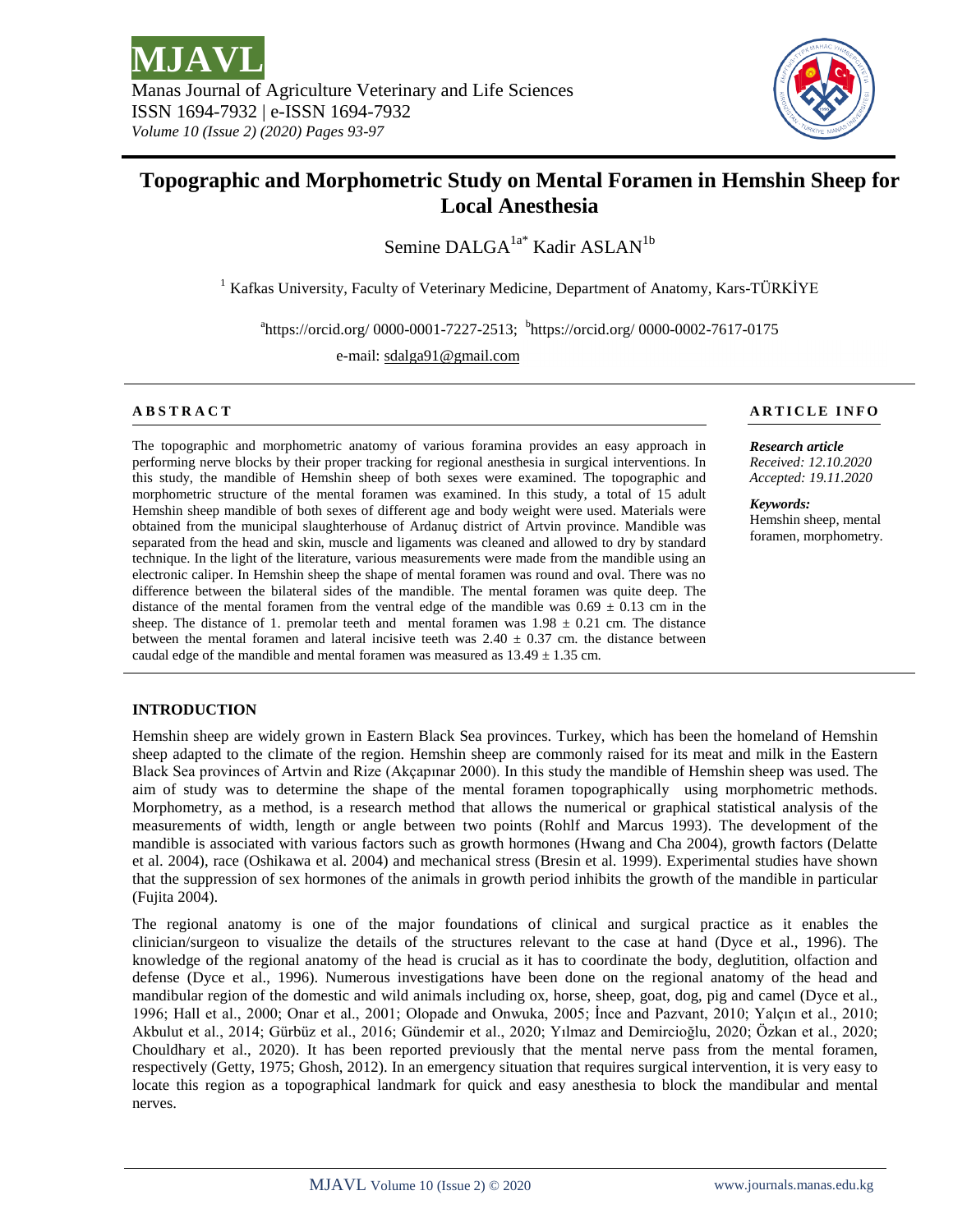

# **Topographic and Morphometric Study on Mental Foramen in Hemshin Sheep for Local Anesthesia**

Semine DALGA $^{1a^*}$  Kadir ASLAN<sup>1b</sup>

<sup>1</sup> Kafkas University, Faculty of Veterinary Medicine, Department of Anatomy, Kars-TÜRKİYE

<sup>a</sup>https://orcid.org/ 0000-0001-7227-2513; <sup>b</sup>https://orcid.org/ 0000-0002-7617-0175

e-mail: sdalga91@gmail.com

The topographic and morphometric anatomy of various foramina provides an easy approach in performing nerve blocks by their proper tracking for regional anesthesia in surgical interventions. In this study, the mandible of Hemshin sheep of both sexes were examined. The topographic and morphometric structure of the mental foramen was examined. In this study, a total of 15 adult Hemshin sheep mandible of both sexes of different age and body weight were used. Materials were obtained from the municipal slaughterhouse of Ardanuç district of Artvin province. Mandible was separated from the head and skin, muscle and ligaments was cleaned and allowed to dry by standard technique. In the light of the literature, various measurements were made from the mandible using an electronic caliper. In Hemshin sheep the shape of mental foramen was round and oval. There was no difference between the bilateral sides of the mandible. The mental foramen was quite deep. The distance of the mental foramen from the ventral edge of the mandible was  $0.69 \pm 0.13$  cm in the sheep. The distance of 1. premolar teeth and mental foramen was  $1.98 \pm 0.21$  cm. The distance between the mental foramen and lateral incisive teeth was  $2.40 \pm 0.37$  cm. the distance between caudal edge of the mandible and mental foramen was measured as  $13.49 \pm 1.35$  cm.

# **ABSTRACT** A RICLE INFO

*Research article Received: 12.10.2020 Accepted: 19.11.2020*

*Keywords:*  Hemshin sheep, mental foramen, morphometry.

## **INTRODUCTION**

Hemshin sheep are widely grown in Eastern Black Sea provinces. Turkey, which has been the homeland of Hemshin sheep adapted to the climate of the region. Hemshin sheep are commonly raised for its meat and milk in the Eastern Black Sea provinces of Artvin and Rize (Akçapınar 2000). In this study the mandible of Hemshin sheep was used. The aim of study was to determine the shape of the mental foramen topographically using morphometric methods. Morphometry, as a method, is a research method that allows the numerical or graphical statistical analysis of the measurements of width, length or angle between two points (Rohlf and Marcus 1993). The development of the mandible is associated with various factors such as growth hormones (Hwang and Cha 2004), growth factors (Delatte et al. 2004), race (Oshikawa et al. 2004) and mechanical stress (Bresin et al. 1999). Experimental studies have shown that the suppression of sex hormones of the animals in growth period inhibits the growth of the mandible in particular (Fujita 2004).

The regional anatomy is one of the major foundations of clinical and surgical practice as it enables the clinician/surgeon to visualize the details of the structures relevant to the case at hand (Dyce et al., 1996). The knowledge of the regional anatomy of the head is crucial as it has to coordinate the body, deglutition, olfaction and defense (Dyce et al., 1996). Numerous investigations have been done on the regional anatomy of the head and mandibular region of the domestic and wild animals including ox, horse, sheep, goat, dog, pig and camel (Dyce et al., 1996; Hall et al., 2000; Onar et al., 2001; Olopade and Onwuka, 2005; İnce and Pazvant, 2010; Yalçın et al., 2010; Akbulut et al., 2014; Gürbüz et al., 2016; Gündemir et al., 2020; Yılmaz and Demircioğlu, 2020; Özkan et al., 2020; Chouldhary et al., 2020). It has been reported previously that the mental nerve pass from the mental foramen, respectively (Getty, 1975; Ghosh, 2012). In an emergency situation that requires surgical intervention, it is very easy to locate this region as a topographical landmark for quick and easy anesthesia to block the mandibular and mental nerves.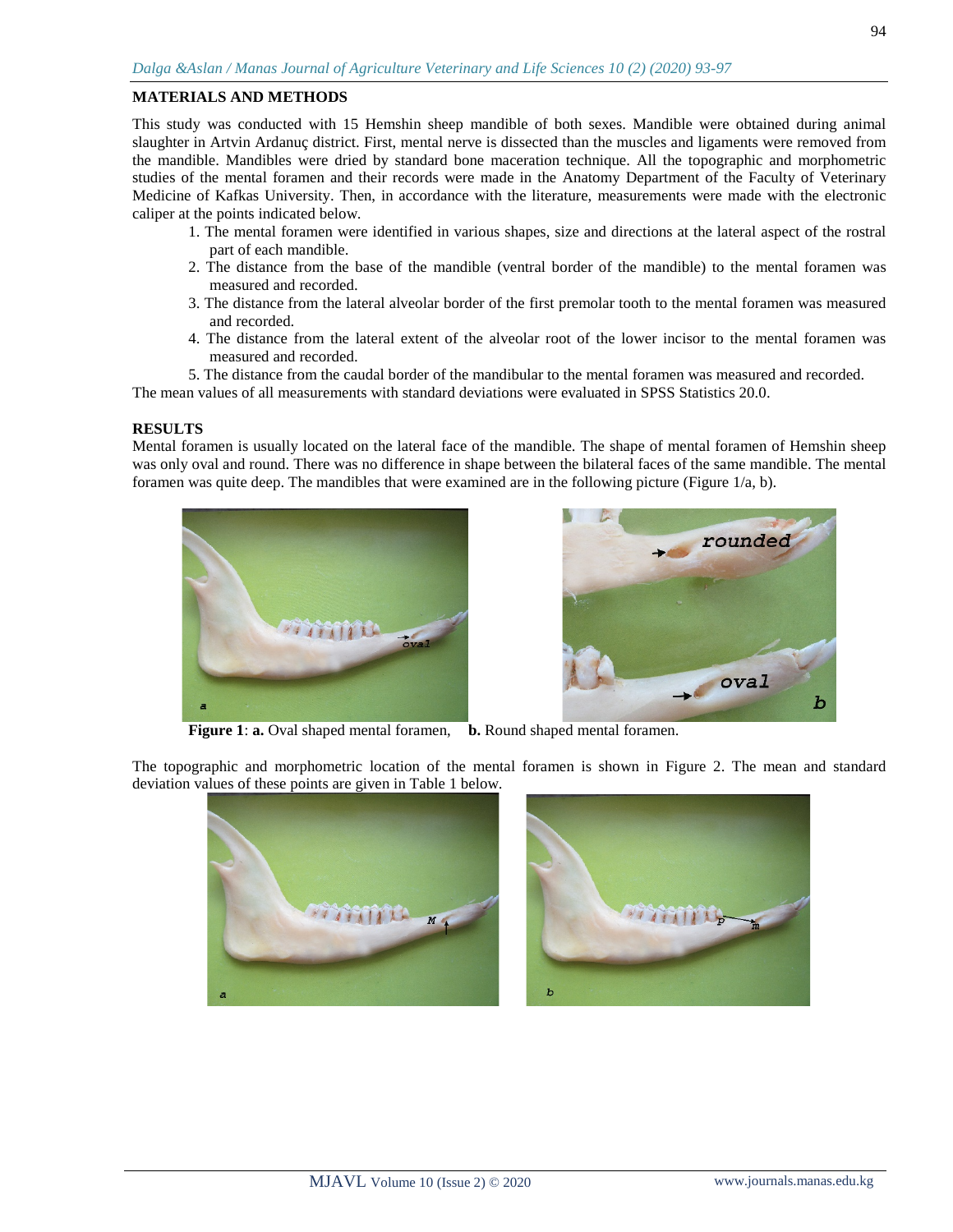#### **MATERIALS AND METHODS**

This study was conducted with 15 Hemshin sheep mandible of both sexes. Mandible were obtained during animal slaughter in Artvin Ardanuç district. First, mental nerve is dissected than the muscles and ligaments were removed from the mandible. Mandibles were dried by standard bone maceration technique. All the topographic and morphometric studies of the mental foramen and their records were made in the Anatomy Department of the Faculty of Veterinary Medicine of Kafkas University. Then, in accordance with the literature, measurements were made with the electronic caliper at the points indicated below.

- 1. The mental foramen were identified in various shapes, size and directions at the lateral aspect of the rostral part of each mandible.
- 2. The distance from the base of the mandible (ventral border of the mandible) to the mental foramen was measured and recorded.
- 3. The distance from the lateral alveolar border of the first premolar tooth to the mental foramen was measured and recorded.
- 4. The distance from the lateral extent of the alveolar root of the lower incisor to the mental foramen was measured and recorded.
- 5. The distance from the caudal border of the mandibular to the mental foramen was measured and recorded.

The mean values of all measurements with standard deviations were evaluated in SPSS Statistics 20.0.

#### **RESULTS**

Mental foramen is usually located on the lateral face of the mandible. The shape of mental foramen of Hemshin sheep was only oval and round. There was no difference in shape between the bilateral faces of the same mandible. The mental foramen was quite deep. The mandibles that were examined are in the following picture (Figure 1/a, b).





**Figure 1**: **a.** Oval shaped mental foramen, **b.** Round shaped mental foramen.

The topographic and morphometric location of the mental foramen is shown in Figure 2. The mean and standard deviation values of these points are given in Table 1 below.



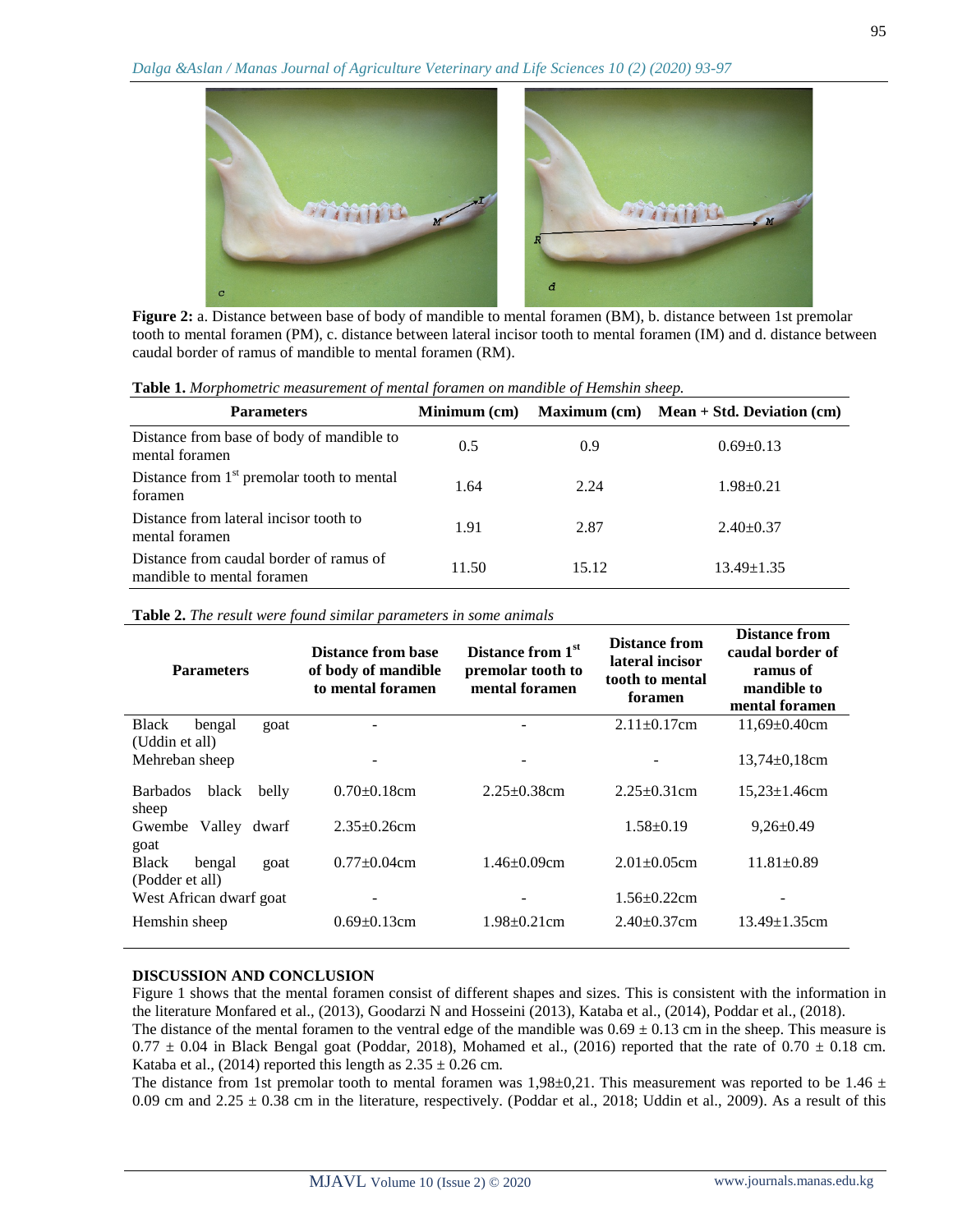

tooth to mental foramen (PM), c. distance between lateral incisor tooth to mental foramen (IM) and d. distance between caudal border of ramus of mandible to mental foramen (RM).

|  | Table 1. Morphometric measurement of mental foramen on mandible of Hemshin sheep. |  |  |  |
|--|-----------------------------------------------------------------------------------|--|--|--|
|  |                                                                                   |  |  |  |

| <b>Parameters</b>                                                     | Minimum (cm) |       | Maximum $(cm)$ Mean + Std. Deviation $(cm)$ |
|-----------------------------------------------------------------------|--------------|-------|---------------------------------------------|
| Distance from base of body of mandible to<br>mental foramen           | 0.5          | 0.9   | $0.69 \pm 0.13$                             |
| Distance from $1st$ premolar tooth to mental<br>foramen               | 1.64         | 2.24  | $1.98 + 0.21$                               |
| Distance from lateral incisor tooth to<br>mental foramen              | 1.91         | 2.87  | $2.40+0.37$                                 |
| Distance from caudal border of ramus of<br>mandible to mental foramen | 11.50        | 15.12 | $13.49 \pm 1.35$                            |

**Table 2.** *The result were found similar parameters in some animals*

| <b>Parameters</b>                                 |       | Distance from 1 <sup>st</sup><br>Distance from base<br>of body of mandible<br>premolar tooth to<br>mental foramen<br>to mental foramen |                          | Distance from<br>lateral incisor<br>tooth to mental<br>foramen | <b>Distance from</b><br>caudal border of<br>ramus of<br>mandible to<br>mental foramen |  |
|---------------------------------------------------|-------|----------------------------------------------------------------------------------------------------------------------------------------|--------------------------|----------------------------------------------------------------|---------------------------------------------------------------------------------------|--|
| <b>Black</b><br>bengal                            | goat  |                                                                                                                                        |                          | $2.11 \pm 0.17$ cm                                             | $11,69 \pm 0.40$ cm                                                                   |  |
| (Uddin et all)<br>Mehreban sheep                  |       |                                                                                                                                        | $\overline{\phantom{a}}$ |                                                                | $13,74\pm0,18$ cm                                                                     |  |
| <b>Barbados</b><br>black                          | belly | $0.70\pm0.18$ cm                                                                                                                       | $2.25 \pm 0.38$ cm       | $2.25 \pm 0.31$ cm                                             | $15,23 \pm 1.46$ cm                                                                   |  |
| sheep                                             |       |                                                                                                                                        |                          |                                                                |                                                                                       |  |
| Gwembe Valley                                     | dwarf | $2.35 \pm 0.26$ cm                                                                                                                     |                          | $1.58 \pm 0.19$                                                | $9,26 \pm 0.49$                                                                       |  |
| goat<br><b>Black</b><br>bengal<br>(Podder et all) | goat  | $0.77 \pm 0.04$ cm                                                                                                                     | $1.46 \pm 0.09$ cm       | $2.01 \pm 0.05$ cm                                             | $11.81 \pm 0.89$                                                                      |  |
| West African dwarf goat                           |       |                                                                                                                                        |                          | $1.56 \pm 0.22$ cm                                             |                                                                                       |  |
| Hemshin sheep                                     |       | $0.69 \pm 0.13$ cm                                                                                                                     | $1.98 \pm 0.21$ cm       | $2.40\pm0.37$ cm                                               | $13.49 \pm 1.35$ cm                                                                   |  |

### **DISCUSSION AND CONCLUSION**

Figure 1 shows that the mental foramen consist of different shapes and sizes. This is consistent with the information in the literature Monfared et al., (2013), Goodarzi N and Hosseini (2013), Kataba et al., (2014), Poddar et al., (2018). The distance of the mental foramen to the ventral edge of the mandible was  $0.69 \pm 0.13$  cm in the sheep. This measure is

 $0.77 \pm 0.04$  in Black Bengal goat (Poddar, 2018), Mohamed et al., (2016) reported that the rate of  $0.70 \pm 0.18$  cm. Kataba et al., (2014) reported this length as  $2.35 \pm 0.26$  cm.

The distance from 1st premolar tooth to mental foramen was 1,98 $\pm$ 0,21. This measurement was reported to be 1.46  $\pm$ 0.09 cm and  $2.25 \pm 0.38$  cm in the literature, respectively. (Poddar et al., 2018; Uddin et al., 2009). As a result of this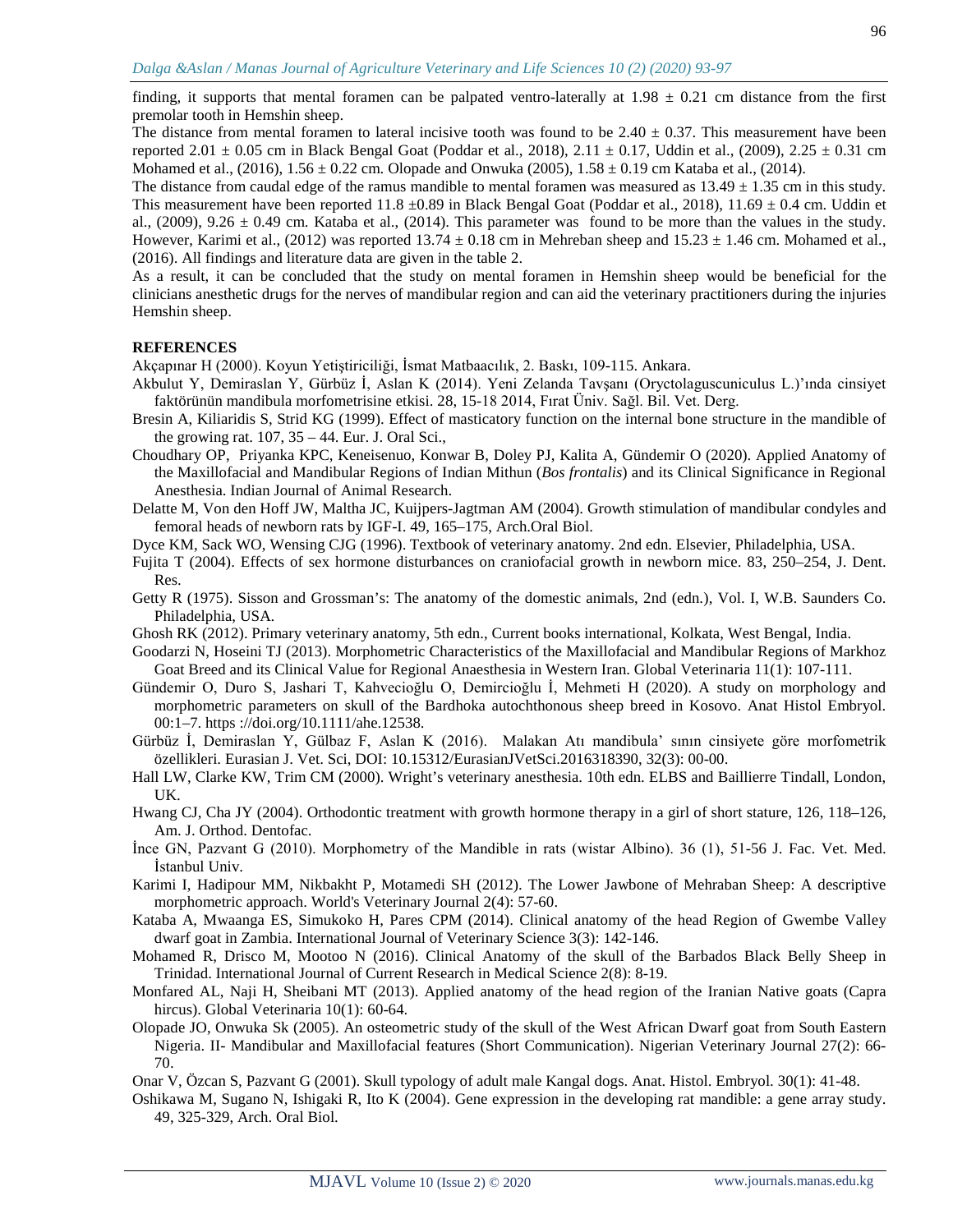finding, it supports that mental foramen can be palpated ventro-laterally at  $1.98 \pm 0.21$  cm distance from the first premolar tooth in Hemshin sheep.

The distance from mental foramen to lateral incisive tooth was found to be  $2.40 \pm 0.37$ . This measurement have been reported 2.01  $\pm$  0.05 cm in Black Bengal Goat (Poddar et al., 2018), 2.11  $\pm$  0.17, Uddin et al., (2009), 2.25  $\pm$  0.31 cm Mohamed et al.,  $(2016)$ ,  $1.56 \pm 0.22$  cm. Olopade and Onwuka  $(2005)$ ,  $1.58 \pm 0.19$  cm Kataba et al.,  $(2014)$ .

The distance from caudal edge of the ramus mandible to mental foramen was measured as  $13.49 \pm 1.35$  cm in this study. This measurement have been reported 11.8  $\pm 0.89$  in Black Bengal Goat (Poddar et al., 2018), 11.69  $\pm$  0.4 cm. Uddin et al.,  $(2009)$ ,  $9.26 \pm 0.49$  cm. Kataba et al.,  $(2014)$ . This parameter was found to be more than the values in the study. However, Karimi et al., (2012) was reported 13.74  $\pm$  0.18 cm in Mehreban sheep and 15.23  $\pm$  1.46 cm. Mohamed et al., (2016). All findings and literature data are given in the table 2.

As a result, it can be concluded that the study on mental foramen in Hemshin sheep would be beneficial for the clinicians anesthetic drugs for the nerves of mandibular region and can aid the veterinary practitioners during the injuries Hemshin sheep.

#### **REFERENCES**

Akçapınar H (2000). Koyun Yetiştiriciliği, İsmat Matbaacılık, 2. Baskı, 109-115. Ankara.

- Akbulut Y, Demiraslan Y, Gürbüz İ, Aslan K (2014). Yeni Zelanda Tavşanı (Oryctolaguscuniculus L.)'ında cinsiyet faktörünün mandibula morfometrisine etkisi. 28, 15-18 2014, Fırat Üniv. Sağl. Bil. Vet. Derg.
- Bresin A, Kiliaridis S, Strid KG (1999). Effect of masticatory function on the internal bone structure in the mandible of the growing rat. 107, 35 – 44. Eur. J. Oral Sci.,
- Choudhary OP, Priyanka KPC, Keneisenuo, Konwar B, Doley PJ, Kalita A, Gündemir O (2020). Applied Anatomy of the Maxillofacial and Mandibular Regions of Indian Mithun (*Bos frontalis*) and its Clinical Significance in Regional Anesthesia. Indian Journal of Animal Research.
- Delatte M, Von den Hoff JW, Maltha JC, Kuijpers-Jagtman AM (2004). Growth stimulation of mandibular condyles and femoral heads of newborn rats by IGF-I. 49, 165–175, Arch.Oral Biol.
- Dyce KM, Sack WO, Wensing CJG (1996). Textbook of veterinary anatomy. 2nd edn. Elsevier, Philadelphia, USA.
- Fujita T (2004). Effects of sex hormone disturbances on craniofacial growth in newborn mice. 83, 250–254, J. Dent. Res.
- Getty R (1975). Sisson and Grossman's: The anatomy of the domestic animals, 2nd (edn.), Vol. I, W.B. Saunders Co. Philadelphia, USA.
- Ghosh RK (2012). Primary veterinary anatomy, 5th edn., Current books international, Kolkata, West Bengal, India.
- Goodarzi N, Hoseini TJ (2013). Morphometric Characteristics of the Maxillofacial and Mandibular Regions of Markhoz Goat Breed and its Clinical Value for Regional Anaesthesia in Western Iran. Global Veterinaria 11(1): 107-111.
- Gündemir O, Duro S, Jashari T, Kahvecioğlu O, Demircioğlu İ, Mehmeti H (2020). A study on morphology and morphometric parameters on skull of the Bardhoka autochthonous sheep breed in Kosovo. Anat Histol Embryol. 00:1–7. https ://doi.org/10.1111/ahe.12538.

Gürbüz İ, Demiraslan Y, Gülbaz F, Aslan K (2016). Malakan Atı mandibula' sının cinsiyete göre morfometrik özellikleri. Eurasian J. Vet. Sci, DOI: 10.15312/EurasianJVetSci.2016318390, 32(3): 00-00.

- Hall LW, Clarke KW, Trim CM (2000). Wright's veterinary anesthesia. 10th edn. ELBS and Baillierre Tindall, London, UK.
- Hwang CJ, Cha JY (2004). Orthodontic treatment with growth hormone therapy in a girl of short stature, 126, 118–126, Am. J. Orthod. Dentofac.
- İnce GN, Pazvant G (2010). Morphometry of the Mandible in rats (wistar Albino). 36 (1), 51-56 J. Fac. Vet. Med. İstanbul Univ.
- Karimi I, Hadipour MM, Nikbakht P, Motamedi SH (2012). The Lower Jawbone of Mehraban Sheep: A descriptive morphometric approach. World's Veterinary Journal 2(4): 57-60.
- Kataba A, Mwaanga ES, Simukoko H, Pares CPM (2014). Clinical anatomy of the head Region of Gwembe Valley dwarf goat in Zambia. International Journal of Veterinary Science 3(3): 142-146.
- Mohamed R, Drisco M, Mootoo N (2016). Clinical Anatomy of the skull of the Barbados Black Belly Sheep in Trinidad. International Journal of Current Research in Medical Science 2(8): 8-19.
- Monfared AL, Naji H, Sheibani MT (2013). Applied anatomy of the head region of the Iranian Native goats (Capra hircus). Global Veterinaria 10(1): 60-64.
- Olopade JO, Onwuka Sk (2005). An osteometric study of the skull of the West African Dwarf goat from South Eastern Nigeria. II- Mandibular and Maxillofacial features (Short Communication). Nigerian Veterinary Journal 27(2): 66- 70.

Onar V, Özcan S, Pazvant G (2001). Skull typology of adult male Kangal dogs. Anat. Histol. Embryol. 30(1): 41-48.

Oshikawa M, Sugano N, Ishigaki R, Ito K (2004). Gene expression in the developing rat mandible: a gene array study. 49, 325-329, Arch. Oral Biol.